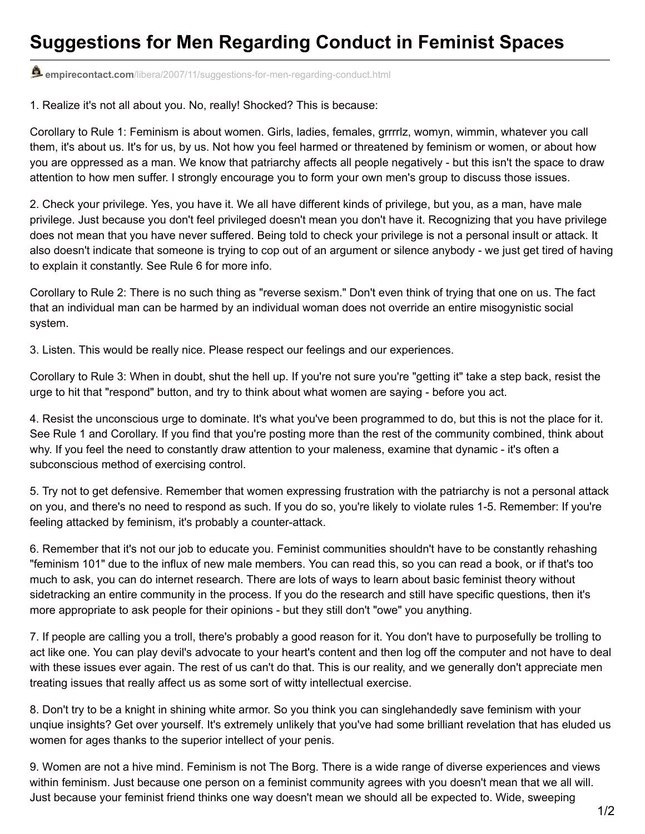## **Suggestions for Men Regarding Conduct in Feminist Spaces**

**empirecontact.com**[/libera/2007/11/suggestions-for-men-regarding-conduct.html](http://www.empirecontact.com/libera/2007/11/suggestions-for-men-regarding-conduct.html)

1. Realize it's not all about you. No, really! Shocked? This is because:

Corollary to Rule 1: Feminism is about women. Girls, ladies, females, grrrrlz, womyn, wimmin, whatever you call them, it's about us. It's for us, by us. Not how you feel harmed or threatened by feminism or women, or about how you are oppressed as a man. We know that patriarchy affects all people negatively - but this isn't the space to draw attention to how men suffer. I strongly encourage you to form your own men's group to discuss those issues.

2. Check your privilege. Yes, you have it. We all have different kinds of privilege, but you, as a man, have male privilege. Just because you don't feel privileged doesn't mean you don't have it. Recognizing that you have privilege does not mean that you have never suffered. Being told to check your privilege is not a personal insult or attack. It also doesn't indicate that someone is trying to cop out of an argument or silence anybody - we just get tired of having to explain it constantly. See Rule 6 for more info.

Corollary to Rule 2: There is no such thing as "reverse sexism." Don't even think of trying that one on us. The fact that an individual man can be harmed by an individual woman does not override an entire misogynistic social system.

3. Listen. This would be really nice. Please respect our feelings and our experiences.

Corollary to Rule 3: When in doubt, shut the hell up. If you're not sure you're "getting it" take a step back, resist the urge to hit that "respond" button, and try to think about what women are saying - before you act.

4. Resist the unconscious urge to dominate. It's what you've been programmed to do, but this is not the place for it. See Rule 1 and Corollary. If you find that you're posting more than the rest of the community combined, think about why. If you feel the need to constantly draw attention to your maleness, examine that dynamic - it's often a subconscious method of exercising control.

5. Try not to get defensive. Remember that women expressing frustration with the patriarchy is not a personal attack on you, and there's no need to respond as such. If you do so, you're likely to violate rules 1-5. Remember: If you're feeling attacked by feminism, it's probably a counter-attack.

6. Remember that it's not our job to educate you. Feminist communities shouldn't have to be constantly rehashing "feminism 101" due to the influx of new male members. You can read this, so you can read a book, or if that's too much to ask, you can do internet research. There are lots of ways to learn about basic feminist theory without sidetracking an entire community in the process. If you do the research and still have specific questions, then it's more appropriate to ask people for their opinions - but they still don't "owe" you anything.

7. If people are calling you a troll, there's probably a good reason for it. You don't have to purposefully be trolling to act like one. You can play devil's advocate to your heart's content and then log off the computer and not have to deal with these issues ever again. The rest of us can't do that. This is our reality, and we generally don't appreciate men treating issues that really affect us as some sort of witty intellectual exercise.

8. Don't try to be a knight in shining white armor. So you think you can singlehandedly save feminism with your unqiue insights? Get over yourself. It's extremely unlikely that you've had some brilliant revelation that has eluded us women for ages thanks to the superior intellect of your penis.

9. Women are not a hive mind. Feminism is not The Borg. There is a wide range of diverse experiences and views within feminism. Just because one person on a feminist community agrees with you doesn't mean that we all will. Just because your feminist friend thinks one way doesn't mean we should all be expected to. Wide, sweeping